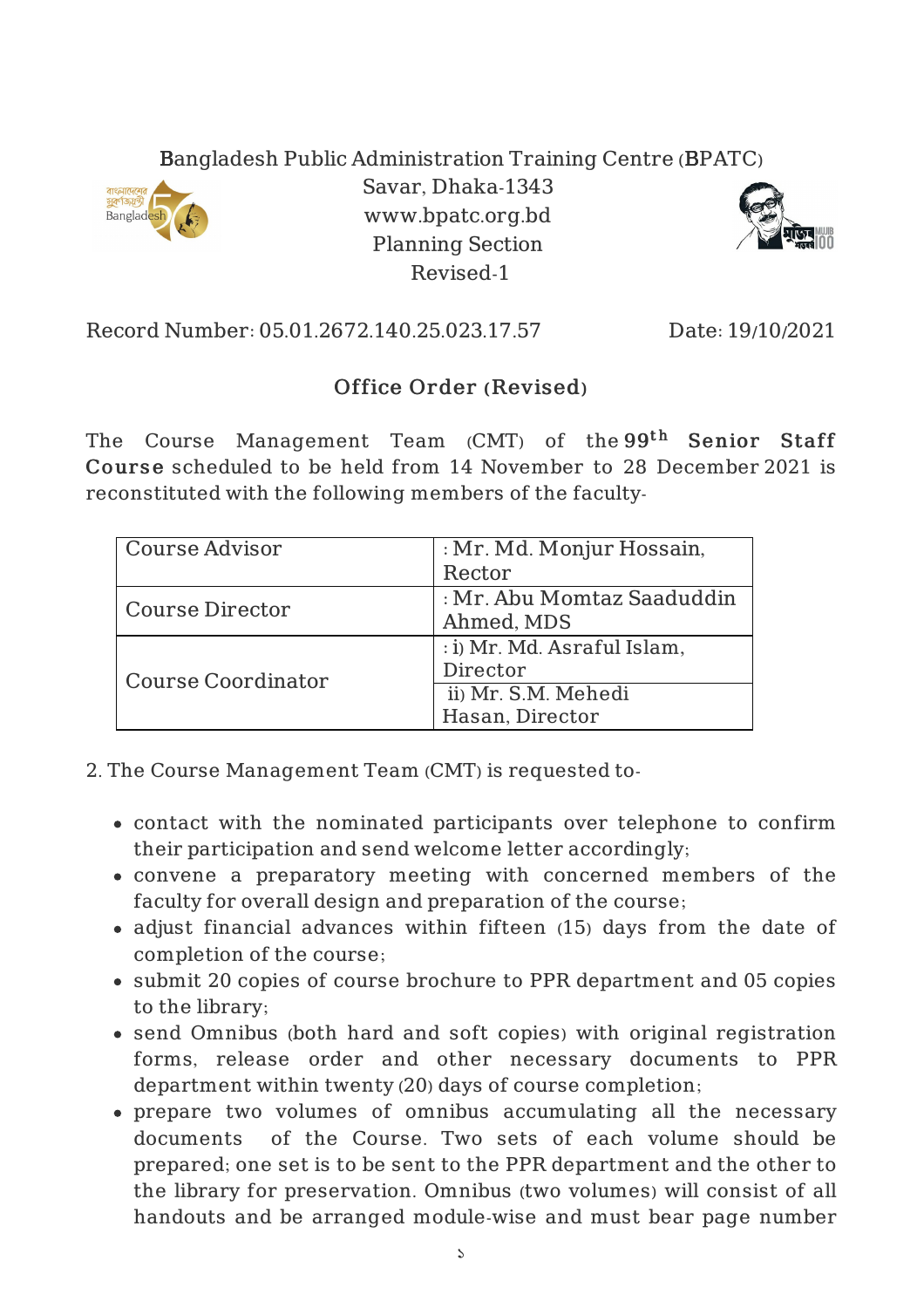## Bangladesh Public Administration Training Centre (BPATC)



Savar, Dhaka-1343 www.bpatc.org.bd Planning Section Revised-1



Record Number: 05.01.2672.140.25.023.17.57 Date: 19/10/2021

## Office Order (Revised)

The Course Management Team (CMT) of the $99^{\rm th}$  Senior Staff Course scheduled to be held from 14 November to 28 December 2021 is reconstituted with the following members of the faculty-

| Course Advisor     | : Mr. Md. Monjur Hossain,   |
|--------------------|-----------------------------|
|                    | Rector                      |
| Course Director    | : Mr. Abu Momtaz Saaduddin  |
|                    | Ahmed, MDS                  |
| Course Coordinator | : i) Mr. Md. Asraful Islam, |
|                    | Director                    |
|                    | ii) Mr. S.M. Mehedi         |
|                    | Hasan, Director             |

- 2. The Course Management Team (CMT) is requested to
	- contact with the nominated participants over telephone to confirm their participation and send welcome letter accordingly;
	- convene a preparatory meeting with concerned members of the faculty for overall design and preparation of the course;
	- adjust financial advances within fifteen (15) days from the date of completion of the course;
	- submit 20 copies of course brochure to PPR department and 05 copies to the library;
	- send Omnibus (both hard and soft copies) with original registration forms, release order and other necessary documents to PPR department within twenty (20) days of course completion;
	- prepare two volumes of omnibus accumulating all the necessary documents of the Course. Two sets of each volume should be prepared; one set is to be sent to the PPR department and the other to the library for preservation. Omnibus (two volumes) will consist of all handouts and be arranged module-wise and must bear page number